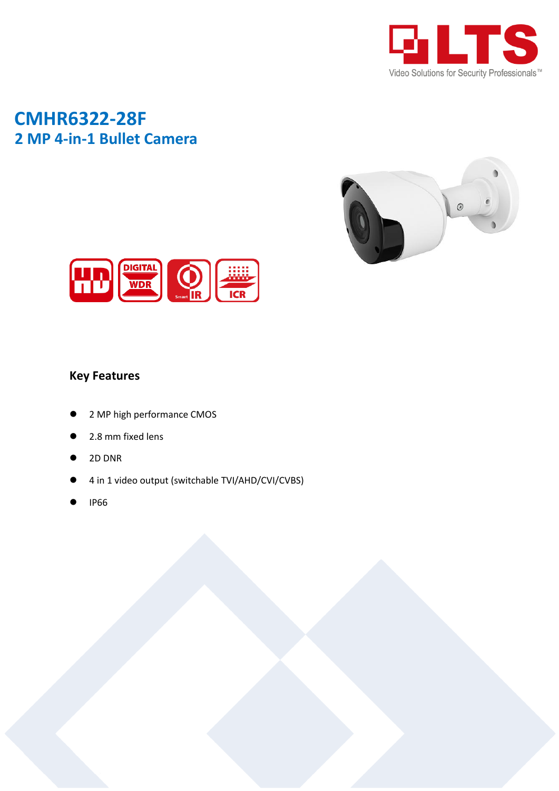

## **CMHR6322-28F 2 MP 4-in-1 Bullet Camera**





## **Key Features**

- 2 MP high performance CMOS
- 2.8 mm fixed lens
- 2D DNR
- 4 in 1 video output (switchable TVI/AHD/CVI/CVBS)
- IP66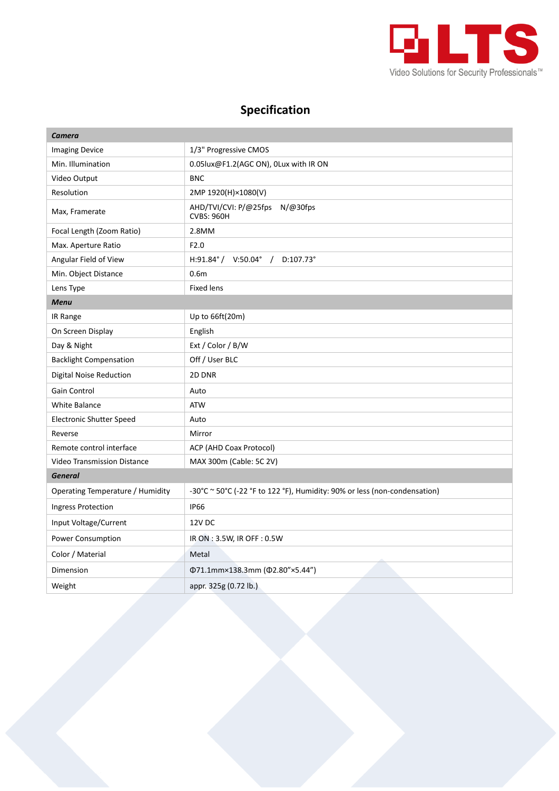

## **Specification**

| <b>Camera</b>                    |                                                                           |
|----------------------------------|---------------------------------------------------------------------------|
| <b>Imaging Device</b>            | 1/3" Progressive CMOS                                                     |
| Min. Illumination                | 0.05lux@F1.2(AGC ON), 0Lux with IR ON                                     |
| Video Output                     | <b>BNC</b>                                                                |
| Resolution                       | 2MP 1920(H)×1080(V)                                                       |
| Max, Framerate                   | AHD/TVI/CVI: P/@25fps N/@30fps<br><b>CVBS: 960H</b>                       |
| Focal Length (Zoom Ratio)        | 2.8MM                                                                     |
| Max. Aperture Ratio              | F2.0                                                                      |
| Angular Field of View            | $H:91.84^{\circ}/$ V:50.04° /<br>$D:107.73^{\circ}$                       |
| Min. Object Distance             | 0.6 <sub>m</sub>                                                          |
| Lens Type                        | <b>Fixed lens</b>                                                         |
| <b>Menu</b>                      |                                                                           |
| IR Range                         | Up to 66ft(20m)                                                           |
| On Screen Display                | English                                                                   |
| Day & Night                      | Ext / Color / B/W                                                         |
| <b>Backlight Compensation</b>    | Off / User BLC                                                            |
| <b>Digital Noise Reduction</b>   | 2D DNR                                                                    |
| Gain Control                     | Auto                                                                      |
| <b>White Balance</b>             | <b>ATW</b>                                                                |
| <b>Electronic Shutter Speed</b>  | Auto                                                                      |
| Reverse                          | Mirror                                                                    |
| Remote control interface         | ACP (AHD Coax Protocol)                                                   |
| Video Transmission Distance      | MAX 300m (Cable: 5C 2V)                                                   |
| <b>General</b>                   |                                                                           |
| Operating Temperature / Humidity | -30°C ~ 50°C (-22 °F to 122 °F), Humidity: 90% or less (non-condensation) |
| Ingress Protection               | <b>IP66</b>                                                               |
| Input Voltage/Current            | 12V DC                                                                    |
| Power Consumption                | IR ON : 3.5W, IR OFF : 0.5W                                               |
| Color / Material                 | Metal                                                                     |
| Dimension                        | Φ71.1mm×138.3mm (Φ2.80"×5.44")                                            |
| Weight                           | appr. 325g (0.72 lb.)                                                     |